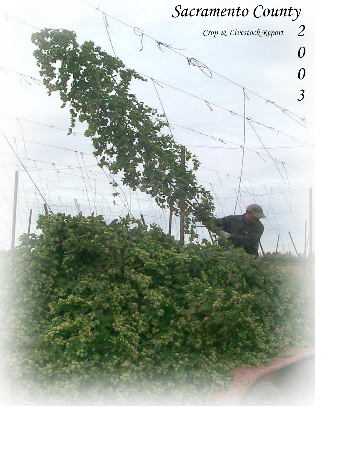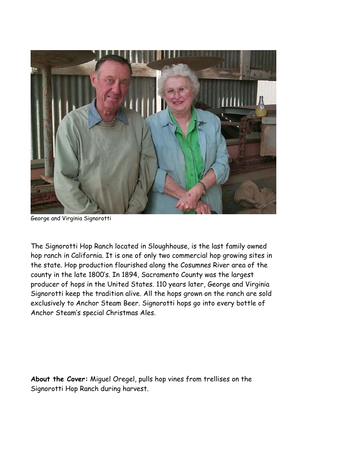

George and Virginia Signorotti

The Signorotti Hop Ranch located in Sloughhouse, is the last family owned hop ranch in California. It is one of only two commercial hop growing sites in the state. Hop production flourished along the Cosumnes River area of the county in the late 1800's. In 1894, Sacramento County was the largest producer of hops in the United States. 110 years later, George and Virginia Signorotti keep the tradition alive. All the hops grown on the ranch are sold exclusively to Anchor Steam Beer. Signorotti hops go into every bottle of Anchor Steam's special Christmas Ales.

**About the Cover:** Miguel Oregel, pulls hop vines from trellises on the Signorotti Hop Ranch during harvest.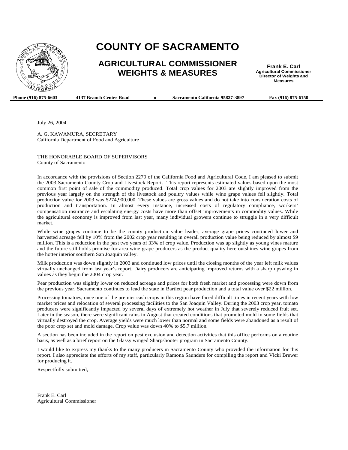

## **COUNTY OF SACRAMENTO**

### **AGRICULTURAL COMMISSIONER WEIGHTS & MEASURES**

**Frank E. Carl Agricultural Commissioner Director of Weights and Measures** 

**Phone (916) 875-6603** 4137 Branch Center Road → Sacramento California 95827-3897 Fax (916) 875-6150

July 26, 2004

A. G. KAWAMURA, SECRETARY California Department of Food and Agriculture

THE HONORABLE BOARD OF SUPERVISORS County of Sacramento

In accordance with the provisions of Section 2279 of the California Food and Agricultural Code, I am pleased to submit the 2003 Sacramento County Crop and Livestock Report. This report represents estimated values based upon the most common first point of sale of the commodity produced. Total crop values for 2003 are slightly improved from the previous year largely on the strength of the livestock and poultry values while wine grape values fell slightly. Total production value for 2003 was \$274,900,000. These values are gross values and do not take into consideration costs of production and transportation. In almost every instance, increased costs of regulatory compliance, workers' compensation insurance and escalating energy costs have more than offset improvements in commodity values. While the agricultural economy is improved from last year, many individual growers continue to struggle in a very difficult market.

While wine grapes continue to be the county production value leader, average grape prices continued lower and harvested acreage fell by 10% from the 2002 crop year resulting in overall production value being reduced by almost \$9 million. This is a reduction in the past two years of 33% of crop value. Production was up slightly as young vines mature and the future still holds promise for area wine grape producers as the product quality here outshines wine grapes from the hotter interior southern San Joaquin valley.

Milk production was down slightly in 2003 and continued low prices until the closing months of the year left milk values virtually unchanged from last year's report. Dairy producers are anticipating improved returns with a sharp upswing in values as they begin the 2004 crop year.

Pear production was slightly lower on reduced acreage and prices for both fresh market and processing were down from the previous year. Sacramento continues to lead the state in Bartlett pear production and a total value over \$22 million.

Processing tomatoes, once one of the premier cash crops in this region have faced difficult times in recent years with low market prices and relocation of several processing facilities to the San Joaquin Valley. During the 2003 crop year, tomato producers were significantly impacted by several days of extremely hot weather in July that severely reduced fruit set. Later in the season, there were significant rains in August that created conditions that promoted mold in some fields that virtually destroyed the crop. Average yields were much lower than normal and some fields were abandoned as a result of the poor crop set and mold damage. Crop value was down 40% to \$5.7 million.

A section has been included in the report on pest exclusion and detection activities that this office performs on a routine basis, as well as a brief report on the Glassy winged Sharpshooter program in Sacramento County.

I would like to express my thanks to the many producers in Sacramento County who provided the information for this report. I also appreciate the efforts of my staff, particularly Ramona Saunders for compiling the report and Vicki Brewer for producing it.

Respectfully submitted,

Frank E. Carl Agricultural Commissioner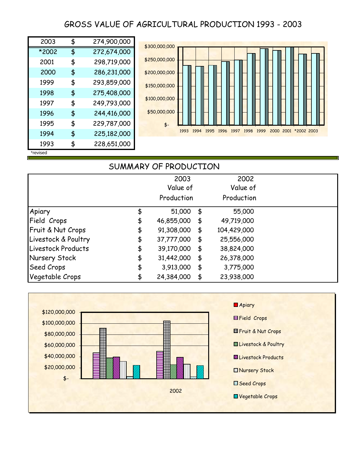## GROSS VALUE OF AGRICULTURAL PRODUCTION 1993 - 2003

| 2003     | \$<br>274,900,000 |
|----------|-------------------|
| *2002    | \$<br>272,674,000 |
| 2001     | \$<br>298,719,000 |
| 2000     | \$<br>286,231,000 |
| 1999     | \$<br>293,859,000 |
| 1998     | \$<br>275,408,000 |
| 1997     | \$<br>249,793,000 |
| 1996     | \$<br>244,416,000 |
| 1995     | \$<br>229,787,000 |
| 1994     | \$<br>225,182,000 |
| 1993     | \$<br>228,651,000 |
| *revised |                   |



## SUMMARY OF PRODUCTION 2003 2002 Value of Value of Production Production Apiary \$ 55,000 51,000 \$ Field Crops 6 46,855,000 \$ 49,719,000 Fruit & Nut Crops  $$91,308,000 $104,429,000$ Livestock & Poultry  $$37,777,000 $25,556,000$ Livestock Products  $\qquad \qquad$  \$ 39,170,000 \$ 38,824,000 Nursery Stock  $\uparrow$  \$ 31,442,000 \$ 26,378,000 Seed Crops \$ 3,775,000 3,913,000 \$ Vegetable Crops  $$ 24,384,000 $ 23,938,000$

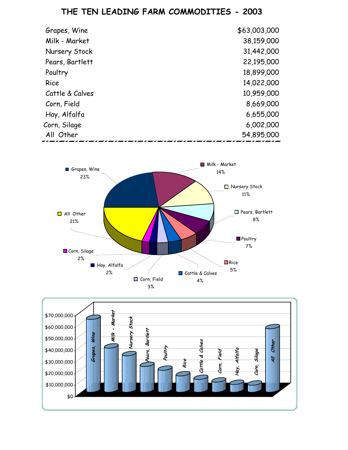## **THE TEN LEADING FARM COMMODITIES - 2003**

| Grapes, Wine    | \$63,003,000 |
|-----------------|--------------|
| Milk - Market   | 38,159,000   |
| Nursery Stock   | 31,442,000   |
| Pears, Bartlett | 22,195,000   |
| Poultry         | 18,899,000   |
| Rice            | 14,022,000   |
| Cattle & Calves | 10,959,000   |
| Corn, Field     | 8,669,000    |
| Hay, Alfalfa    | 6,655,000    |
| Corn, Silage    | 6,002,000    |
| All Other       | 54,895,000   |



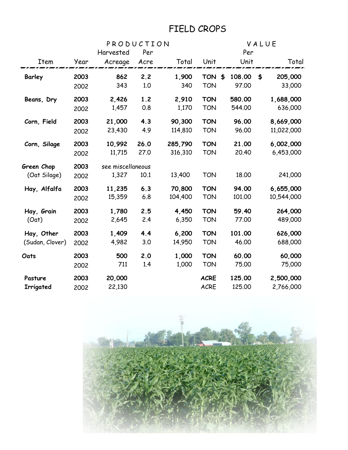# FIELD CROPS

| PRODUCTION      |      |                   |      | VALUE   |                  |        |    |            |
|-----------------|------|-------------------|------|---------|------------------|--------|----|------------|
|                 |      | Harvested         | Per  |         |                  | Per    |    |            |
| Item            | Year | Acreage           | Acre | Total   | Unit             | Unit   |    | Total      |
| <b>Barley</b>   | 2003 | 862               | 2.2  | 1,900   | <b>TON</b><br>\$ | 108.00 | \$ | 205,000    |
|                 | 2002 | 343               | 1.0  | 340     | <b>TON</b>       | 97.00  |    | 33,000     |
| Beans, Dry      | 2003 | 2,426             | 1.2  | 2,910   | <b>TON</b>       | 580.00 |    | 1,688,000  |
|                 | 2002 | 1,457             | 0.8  | 1,170   | <b>TON</b>       | 544.00 |    | 636,000    |
| Corn, Field     | 2003 | 21,000            | 4.3  | 90,300  | <b>TON</b>       | 96.00  |    | 8,669,000  |
|                 | 2002 | 23,430            | 4.9  | 114,810 | <b>TON</b>       | 96.00  |    | 11,022,000 |
| Corn, Silage    | 2003 | 10,992            | 26.0 | 285,790 | <b>TON</b>       | 21.00  |    | 6,002,000  |
|                 | 2002 | 11,715            | 27.0 | 316,310 | <b>TON</b>       | 20.40  |    | 6,453,000  |
| Green Chop      | 2003 | see miscellaneous |      |         |                  |        |    |            |
| (Oat Silage)    | 2002 | 1,327             | 10.1 | 13,400  | <b>TON</b>       | 18.00  |    | 241,000    |
| Hay, Alfalfa    | 2003 | 11,235            | 6.3  | 70,800  | <b>TON</b>       | 94.00  |    | 6,655,000  |
|                 | 2002 | 15,359            | 6.8  | 104,400 | <b>TON</b>       | 101.00 |    | 10,544,000 |
| Hay, Grain      | 2003 | 1,780             | 2.5  | 4,450   | <b>TON</b>       | 59.40  |    | 264,000    |
| (Oat)           | 2002 | 2,645             | 2.4  | 6,350   | <b>TON</b>       | 77.00  |    | 489,000    |
| Hay, Other      | 2003 | 1,409             | 4.4  | 6,200   | <b>TON</b>       | 101.00 |    | 626,000    |
| (Sudan, Clover) | 2002 | 4,982             | 3.0  | 14,950  | <b>TON</b>       | 46.00  |    | 688,000    |
| Oats            | 2003 | 500               | 2.0  | 1,000   | <b>TON</b>       | 60.00  |    | 60,000     |
|                 | 2002 | 711               | 1.4  | 1,000   | <b>TON</b>       | 75.00  |    | 75,000     |
| Pasture         | 2003 | 20,000            |      |         | <b>ACRE</b>      | 125.00 |    | 2,500,000  |
| Irrigated       | 2002 | 22,130            |      |         | <b>ACRE</b>      | 125.00 |    | 2,766,000  |

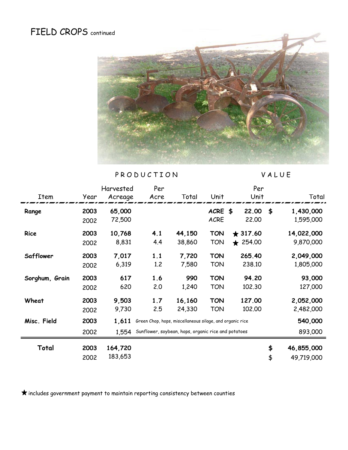# FIELD CROPS continued



PRODUCTION VALUE

|                |      | Harvested | Per  |                                                          |             | Per            |                  |
|----------------|------|-----------|------|----------------------------------------------------------|-------------|----------------|------------------|
| Item           | Year | Acreage   | Acre | Total                                                    | Unit        | Unit           | Total            |
| Range          | 2003 | 65,000    |      |                                                          | ACRE \$     | 22.00          | \$<br>1,430,000  |
|                | 2002 | 72,500    |      |                                                          | <b>ACRE</b> | 22,00          | 1,595,000        |
| Rice           | 2003 | 10,768    | 4.1  | 44,150                                                   | <b>TON</b>  | $\star$ 317.60 | 14,022,000       |
|                | 2002 | 8,831     | 4.4  | 38,860                                                   | TON         | ★ 254.00       | 9,870,000        |
| Safflower      | 2003 | 7,017     | 1.1  | 7,720                                                    | <b>TON</b>  | 265.40         | 2,049,000        |
|                | 2002 | 6,319     | 1.2  | 7,580                                                    | TON         | 238.10         | 1,805,000        |
| Sorghum, Grain | 2003 | 617       | 1.6  | 990                                                      | <b>TON</b>  | 94.20          | 93,000           |
|                | 2002 | 620       | 2.0  | 1,240                                                    | TON         | 102.30         | 127,000          |
| Wheat          | 2003 | 9,503     | 1.7  | 16,160                                                   | <b>TON</b>  | 127.00         | 2,052,000        |
|                | 2002 | 9,730     | 2.5  | 24,330                                                   | TON         | 102.00         | 2,482,000        |
| Misc. Field    | 2003 | 1,611     |      | Green Chop, hops, miscellaneous silage, and organic rice |             |                | 540,000          |
|                | 2002 | 1,554     |      | Sunflower, soybean, hops, organic rice and potatoes      |             |                | 893,000          |
| Total          | 2003 | 164,720   |      |                                                          |             |                | \$<br>46,855,000 |
|                | 2002 | 183,653   |      |                                                          |             |                | \$<br>49,719,000 |

 $\bigstar$  includes government payment to maintain reporting consistency between counties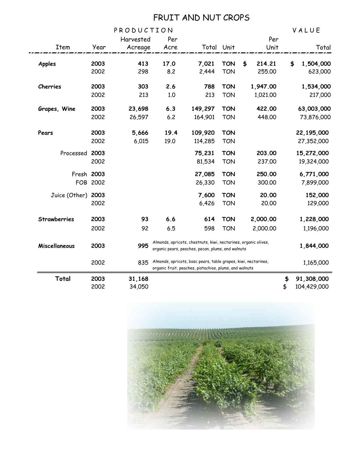## FRUIT AND NUT CROPS

| Total          | 2003<br>2002 | 31,168<br>34,050 |                                                                                                                      |                                                                                                                          |            |    |          | \$<br>\$  | 91,308,000<br>104,429,000 |
|----------------|--------------|------------------|----------------------------------------------------------------------------------------------------------------------|--------------------------------------------------------------------------------------------------------------------------|------------|----|----------|-----------|---------------------------|
|                | 2002         | 835              |                                                                                                                      | Almonds, apricots, bosc pears, table grapes, kiwi, nectarines,<br>organic fruit, peaches, pistachios, plums, and walnuts |            |    |          |           | 1,165,000                 |
| Miscellaneous  | 2003         | 995              | Almonds, apricots, chestnuts, kiwi, nectarines, organic olives,<br>organic pears, peaches, pecan, plums, and walnuts |                                                                                                                          |            |    |          | 1,844,000 |                           |
|                | 2002         | 92               | 6.5                                                                                                                  | 598                                                                                                                      | <b>TON</b> |    | 2,000.00 |           | 1,196,000                 |
| Strawberries   | 2003         | 93               | 6.6                                                                                                                  | 614                                                                                                                      | <b>TON</b> |    | 2,000.00 |           | 1,228,000                 |
|                | 2002         |                  |                                                                                                                      | 6,426                                                                                                                    | <b>TON</b> |    | 20.00    |           | 129,000                   |
| Juice (Other)  | 2003         |                  |                                                                                                                      | 7,600                                                                                                                    | <b>TON</b> |    | 20,00    |           | 152,000                   |
|                | FOB 2002     |                  |                                                                                                                      | 26,330                                                                                                                   | <b>TON</b> |    | 300.00   |           | 7,899,000                 |
|                | Fresh 2003   |                  |                                                                                                                      | 27,085                                                                                                                   | <b>TON</b> |    | 250.00   |           | 6,771,000                 |
|                | 2002         |                  |                                                                                                                      | 81,534                                                                                                                   | <b>TON</b> |    | 237.00   |           | 19,324,000                |
| Processed 2003 |              |                  |                                                                                                                      | 75,231                                                                                                                   | <b>TON</b> |    | 203.00   |           | 15,272,000                |
|                | 2002         | 6,015            | 19.0                                                                                                                 | 114,285                                                                                                                  | <b>TON</b> |    |          |           | 27,352,000                |
| Pears          | 2003         | 5,666            | 19.4                                                                                                                 | 109,920                                                                                                                  | <b>TON</b> |    |          |           | 22,195,000                |
|                | 2002         | 26,597           | $6.2$                                                                                                                | 164,901                                                                                                                  | <b>TON</b> |    | 448.00   |           | 73,876,000                |
| Grapes, Wine   | 2003         | 23,698           | 6.3                                                                                                                  | 149,297                                                                                                                  | <b>TON</b> |    | 422.00   |           | 63,003,000                |
|                | 2002         | 213              | 1.0                                                                                                                  | 213                                                                                                                      | <b>TON</b> |    | 1,021.00 |           | 217,000                   |
| Cherries       | 2003         | 303              | 2.6                                                                                                                  | 788                                                                                                                      | <b>TON</b> |    | 1,947.00 |           | 1,534,000                 |
|                | 2002         | 298              | 8.2                                                                                                                  | 2,444                                                                                                                    | <b>TON</b> |    | 255.00   |           | 623,000                   |
| <b>Apples</b>  | 2003         | 413              | 17.0                                                                                                                 | 7,021                                                                                                                    | <b>TON</b> | \$ | 214.21   |           | \$<br>1,504,000           |
| Item           | Year         | Acreage          | Acre                                                                                                                 |                                                                                                                          | Total Unit |    | Unit     |           | Total                     |
|                |              | Harvested        | Per                                                                                                                  |                                                                                                                          |            |    | Per      |           |                           |
|                |              | PRODUCTION       |                                                                                                                      |                                                                                                                          |            |    |          |           | VALUE                     |

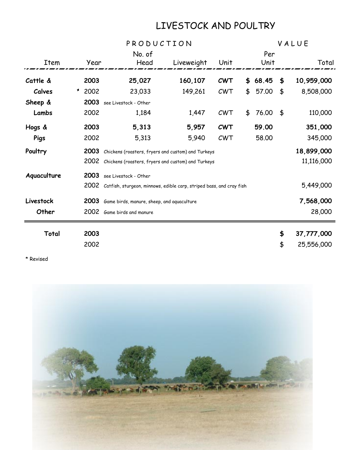# LIVESTOCK AND POULTRY

|             |            | PRODUCTION                                                           | VALUE      |            |             |     |            |
|-------------|------------|----------------------------------------------------------------------|------------|------------|-------------|-----|------------|
|             |            | No. of                                                               |            |            | Per         |     |            |
| Item        | Year       | Head                                                                 | Liveweight | Unit       | Unit        |     | Total      |
| Cattle &    | 2003       | 25,027                                                               | 160,107    | <b>CWT</b> | \$68.45     | \$  | 10,959,000 |
| Calves      | ×.<br>2002 | 23,033                                                               | 149,261    | CWT        | \$<br>57.00 | \$  | 8,508,000  |
| Sheep &     | 2003       | see Livestock - Other                                                |            |            |             |     |            |
| Lambs       | 2002       | 1,184                                                                | 1,447      | CWT        | \$<br>76.00 | ∫\$ | 110,000    |
| Hogs &      | 2003       | 5,313                                                                | 5,957      | <b>CWT</b> | 59.00       |     | 351,000    |
| Pigs        | 2002       | 5,313                                                                | 5,940      | CWT        | 58.00       |     | 345,000    |
| Poultry     | 2003       | Chickens (roasters, fryers and custom) and Turkeys                   |            | 18,899,000 |             |     |            |
|             | 2002       | Chickens (roasters, fryers and custom) and Turkeys                   |            |            |             |     | 11,116,000 |
| Aquaculture | 2003       | see Livestock - Other                                                |            |            |             |     |            |
|             | 2002       | Catfish, sturgeon, minnows, edible carp, striped bass, and cray fish |            |            |             |     | 5,449,000  |
| Livestock   | 2003       | Game birds, manure, sheep, and aquaculture                           |            |            |             |     | 7,568,000  |
| Other       | 2002       | Game birds and manure                                                |            |            |             |     | 28,000     |
| Total       | 2003       |                                                                      |            |            |             | \$  | 37,777,000 |
|             | 2002       |                                                                      |            |            |             | \$  | 25,556,000 |

\* Revised

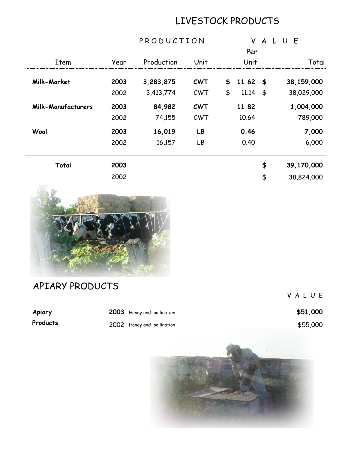# LIVESTOCK PRODUCTS

|                           |      | PRODUCTION |            |    | V                      |    | ALUE |            |       |
|---------------------------|------|------------|------------|----|------------------------|----|------|------------|-------|
|                           |      |            |            |    | Per                    |    |      |            |       |
| Item                      | Year | Production | Unit       |    | Unit                   |    |      |            | Total |
| Milk-Market               | 2003 | 3,283,875  | <b>CWT</b> | \$ | $11.62 \; \; \text{S}$ |    |      | 38,159,000 |       |
|                           | 2002 | 3,413,774  | CWT        | \$ | $11.14 \quad$ \$       |    |      | 38,029,000 |       |
| <b>Milk-Manufacturers</b> | 2003 | 84,982     | <b>CWT</b> |    | 11.82                  |    |      | 1,004,000  |       |
|                           | 2002 | 74,155     | CWT        |    | 10.64                  |    |      | 789,000    |       |
| Wool                      | 2003 | 16,019     | LB         |    | 0.46                   |    |      |            | 7,000 |
|                           | 2002 | 16,157     | LB         |    | 0.40                   |    |      |            | 6,000 |
| Total                     | 2003 |            |            |    |                        | \$ |      | 39,170,000 |       |
|                           | 2002 |            |            |    |                        | \$ |      | 38,824,000 |       |



APIARY PRODUCTS

V A L U E

Apiary **2003** Honey and pollination **1996 1000 \$51,000** 

**Products** 2002 Honey and pollination \$55,000

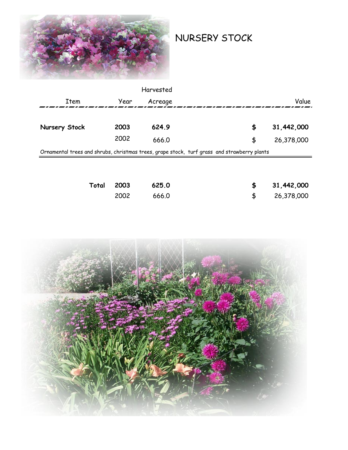

NURSERY STOCK

|               |      | Harvested |                                                                                             |            |
|---------------|------|-----------|---------------------------------------------------------------------------------------------|------------|
| Item          | Year | Acreage   |                                                                                             | Value      |
| Nursery Stock | 2003 | 624.9     | \$                                                                                          | 31,442,000 |
|               | 2002 | 666.0     | \$                                                                                          | 26,378,000 |
|               |      |           | Ornamental trees and shrubs, christmas trees, grape stock, turf grass and strawberry plants |            |
|               |      |           |                                                                                             |            |
|               |      |           |                                                                                             |            |

| Total 2003 | 625.0 | \$31,442,000 |
|------------|-------|--------------|
| 2002       | 666.0 | \$26,378,000 |

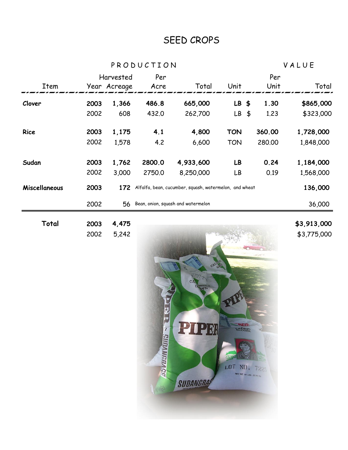# SEED CROPS

P R O D U C T I O N V A L U E

| Total         | 2003 | 4,475        |        |                                                        |            |                       | \$3,913,000 |
|---------------|------|--------------|--------|--------------------------------------------------------|------------|-----------------------|-------------|
|               | 2002 | 56           |        | Bean, onion, squash and watermelon                     |            |                       | 36,000      |
| Miscellaneous | 2003 | 172          |        | Alfalfa, bean, cucumber, squash, watermelon, and wheat |            |                       | 136,000     |
|               | 2002 | 3,000        | 2750.0 | 8,250,000                                              | LB         | 0.19                  | 1,568,000   |
| Sudan         | 2003 | 1,762        | 2800.0 | 4,933,600                                              | LB         | 0.24                  | 1,184,000   |
|               | 2002 | 1,578        | 4.2    | 6,600                                                  | <b>TON</b> | 280,00                | 1,848,000   |
| <b>Rice</b>   | 2003 | 1,175        | 4.1    | 4,800                                                  | <b>TON</b> | 360.00                | 1,728,000   |
|               | 2002 | 608          | 432.0  | 262,700                                                | LB         | 1.23<br>$\frac{4}{5}$ | \$323,000   |
| Clover        | 2003 | 1,366        | 486.8  | 665,000                                                | $LB$ \$    | 1.30                  | \$865,000   |
| Item          |      | Year Acreage | Acre   | Total                                                  | Unit       | Unit                  | Total       |
|               |      | Harvested    | Per    |                                                        |            | Per                   |             |

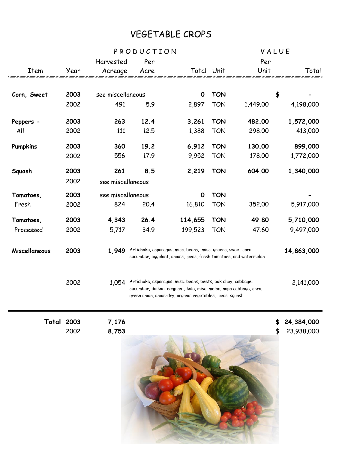# VEGETABLE CROPS

|                   |      |                   | PRODUCTION |                                                                                                                                                                                                |            | VALUE    |                  |
|-------------------|------|-------------------|------------|------------------------------------------------------------------------------------------------------------------------------------------------------------------------------------------------|------------|----------|------------------|
|                   |      | Harvested         | Per        |                                                                                                                                                                                                |            | Per      |                  |
| Item              | Year | Acreage           | Acre       | Total Unit                                                                                                                                                                                     |            | Unit     | Total            |
|                   |      |                   |            |                                                                                                                                                                                                |            |          |                  |
| Corn, Sweet       | 2003 | see miscellaneous |            | $\mathbf 0$                                                                                                                                                                                    | <b>TON</b> |          | \$               |
|                   | 2002 | 491               | 5.9        | 2,897                                                                                                                                                                                          | <b>TON</b> | 1,449.00 | 4,198,000        |
| Peppers -         | 2003 | 263               | 12.4       | 3,261                                                                                                                                                                                          | <b>TON</b> | 482.00   | 1,572,000        |
| All               | 2002 | 111               | 12.5       | 1,388                                                                                                                                                                                          | <b>TON</b> | 298.00   | 413,000          |
| <b>Pumpkins</b>   | 2003 | 360               | 19.2       | 6,912                                                                                                                                                                                          | <b>TON</b> | 130.00   | 899,000          |
|                   | 2002 | 556               | 17.9       | 9,952                                                                                                                                                                                          | <b>TON</b> | 178.00   | 1,772,000        |
| Squash            | 2003 | 261               | 8.5        | 2,219                                                                                                                                                                                          | <b>TON</b> | 604.00   | 1,340,000        |
|                   | 2002 | see miscellaneous |            |                                                                                                                                                                                                |            |          |                  |
| Tomatoes,         | 2003 | see miscellaneous |            | $\mathbf{o}$                                                                                                                                                                                   | <b>TON</b> |          |                  |
| Fresh             | 2002 | 824               | 20.4       | 16,810                                                                                                                                                                                         | <b>TON</b> | 352,00   | 5,917,000        |
| Tomatoes,         | 2003 | 4,343             | 26.4       | 114,655                                                                                                                                                                                        | <b>TON</b> | 49.80    | 5,710,000        |
| Processed         | 2002 | 5,717             | 34.9       | 199,523                                                                                                                                                                                        | <b>TON</b> | 47.60    | 9,497,000        |
| Miscellaneous     | 2003 | 1,949             |            | Artichoke, asparagus, misc. beans, misc. greens, sweet corn,<br>cucumber, eggplant, onions, peas, fresh tomatoes, and watermelon                                                               |            |          | 14,863,000       |
|                   | 2002 | 1,054             |            | Artichoke, asparagus, misc. beans, beets, bok choy, cabbage,<br>cucumber, daikon, eggplant, kale, misc. melon, napa cabbage, okra,<br>green onion, onion-dry, organic vegetables, peas, squash |            |          | 2,141,000        |
| <b>Total 2003</b> |      | 7,176             |            |                                                                                                                                                                                                |            |          | 24,384,000       |
|                   | 2002 | 8,753             |            |                                                                                                                                                                                                |            |          | \$<br>23,938,000 |
|                   |      |                   |            |                                                                                                                                                                                                |            |          |                  |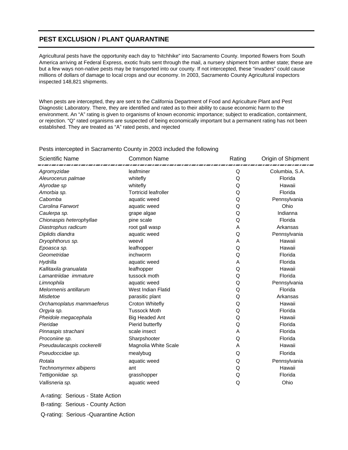#### **PEST EXCLUSION / PLANT QUARANTINE**

Agricultural pests have the opportunity each day to 'hitchhike" into Sacramento County. Imported flowers from South America arriving at Federal Express, exotic fruits sent through the mail, a nursery shipment from anther state; these are but a few ways non-native pests may be transported into our county. If not intercepted, these "invaders" could cause millions of dollars of damage to local crops and our economy. In 2003, Sacramento County Agricultural inspectors inspected 148,821 shipments.

When pests are intercepted, they are sent to the California Department of Food and Agriculture Plant and Pest Diagnostic Laboratory. There, they are identified and rated as to their ability to cause economic harm to the environment. An "A" rating is given to organisms of known economic importance; subject to eradication, containment, or rejection. "Q" rated organisms are suspected of being economically important but a permanent rating has not been established. They are treated as "A" rated pests, and rejected

| <b>Scientific Name</b>     | <b>Common Name</b>          | Rating | Origin of Shipment |
|----------------------------|-----------------------------|--------|--------------------|
| Agromyzidae                | leafminer                   | Q      | Columbia, S.A.     |
| Aleurocerus palmae         | whitefly                    | Q      | Florida            |
| Alyrodae sp                | whitefly                    | Q      | Hawaii             |
| Amorbia sp.                | <b>Tortricid leafroller</b> | Q      | Florida            |
| Cabomba                    | aquatic weed                | Q      | Pennsylvania       |
| Carolina Fanwort           | aquatic weed                | Q      | Ohio               |
| Caulerpa sp.               | grape algae                 | Q      | Indianna           |
| Chionaspis heterophyllae   | pine scale                  | Q      | Florida            |
| Diastrophus radicum        | root gall wasp              | A      | Arkansas           |
| Diplidis diandra           | aquatic weed                | Q      | Pennsylvania       |
| Dryophthorus sp.           | weevil                      | Α      | Hawaii             |
| Epoasca sp.                | leafhopper                  | Q      | Hawaii             |
| Geometridae                | inchworm                    | Q      | Florida            |
| Hydrilla                   | aquatic weed                | Α      | Florida            |
| Kallitaxila granualata     | leafhopper                  | Q      | Hawaii             |
| Lamantriidae immature      | tussock moth                | Q      | Florida            |
| Limnophila                 | aquatic weed                | Q      | Pennsylvania       |
| Melormenis antillarum      | West Indian Flatid          | Q      | Florida            |
| Mistletoe                  | parasitic plant             | Q      | Arkansas           |
| Orchamoplatus mammaeferus  | Croton Whitefly             | Q      | Hawaii             |
| Orgyia sp.                 | <b>Tussock Moth</b>         | Q      | Florida            |
| Pheidole megacephala       | <b>Big Headed Ant</b>       | Q      | Hawaii             |
| Pieridae                   | Pierid butterfly            | Q      | Florida            |
| Pinnaspis strachani        | scale insect                | Α      | Florida            |
| Proconiine sp.             | Sharpshooter                | Q      | Florida            |
| Pseudaulacaspis cockerelli | Magnolia White Scale        | A      | Hawaii             |
| Pseudoccidae sp.           | mealybug                    | Q      | Florida            |
| Rotala                     | aquatic weed                | Q      | Pennsylvania       |
| Technomyrmex albipens      | ant                         | Q      | Hawaii             |
| Tettigoniidae sp.          | grasshopper                 | Q      | Florida            |
| Vallisneria sp.            | aquatic weed                | Q      | Ohio               |
|                            |                             |        |                    |

Pests intercepted in Sacramento County in 2003 included the following

 A-rating: Serious - State Action B-rating: Serious - County Action Q-rating: Serious -Quarantine Action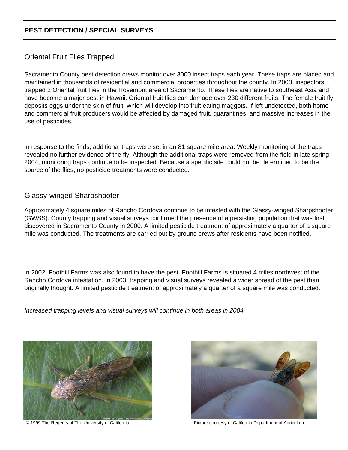### **PEST DETECTION / SPECIAL SURVEYS**

### Oriental Fruit Flies Trapped

Sacramento County pest detection crews monitor over 3000 insect traps each year. These traps are placed and maintained in thousands of residential and commercial properties throughout the county. In 2003, inspectors trapped 2 Oriental fruit flies in the Rosemont area of Sacramento. These flies are native to southeast Asia and have become a major pest in Hawaii. Oriental fruit flies can damage over 230 different fruits. The female fruit fly deposits eggs under the skin of fruit, which will develop into fruit eating maggots. If left undetected, both home and commercial fruit producers would be affected by damaged fruit, quarantines, and massive increases in the use of pesticides.

In response to the finds, additional traps were set in an 81 square mile area. Weekly monitoring of the traps revealed no further evidence of the fly. Although the additional traps were removed from the field in late spring 2004, monitoring traps continue to be inspected. Because a specific site could not be determined to be the source of the flies, no pesticide treatments were conducted.

#### Glassy-winged Sharpshooter

Approximately 4 square miles of Rancho Cordova continue to be infested with the Glassy-winged Sharpshooter (GWSS). County trapping and visual surveys confirmed the presence of a persisting population that was first discovered in Sacramento County in 2000. A limited pesticide treatment of approximately a quarter of a square mile was conducted. The treatments are carried out by ground crews after residents have been notified.

In 2002, Foothill Farms was also found to have the pest. Foothill Farms is situated 4 miles northwest of the Rancho Cordova infestation. In 2003, trapping and visual surveys revealed a wider spread of the pest than originally thought. A limited pesticide treatment of approximately a quarter of a square mile was conducted.

*Increased trapping levels and visual surveys will continue in both areas in 2004.*





© 1999 The Regents of The University of California **Picture Courtesy of California Department of Agriculture**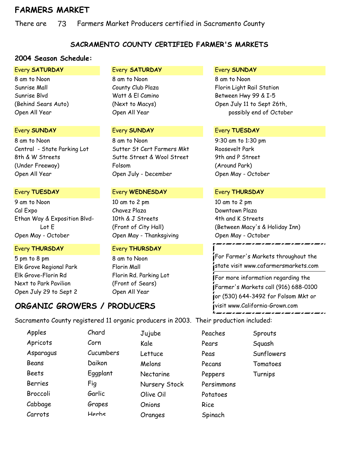## **FARMERS MARKET**

There are 73 Farmers Market Producers certified in Sacramento County 73

### **SACRAMENTO COUNTY CERTIFIED FARMER'S MARKETS**

### **2004 Season Schedule:**

8 am to Noon 8 am to Noon 8 am to Noon

8 am to Noon 8 am to Noon 9:30 am to 1:30 pm Central - State Parking Lot Sutter St Cert Farmers Mkt Roosevelt Park 8th & W Streets Sutte Street & Wool Street 9th and P Street (Under Freeway) Folsom (Around Park) Open All Year Open July - December Open May - October

9 am to Noon 10 am to 2 pm 10 am to 2 pm Cal Expo Chavez Plaza Downtown Plaza Ethan Way & Exposition Blvd- 10th & J Streets 4th and K Streets Open May - October Open May - Thanksgiving Open May - October

#### Every **THURSDAY** Every **THURSDAY**

5 pm to 8 pm 8 am to Noon Elk Grove Regional Park Florin Mall Elk Grove-Florin Rd Florin Rd. Parking Lot Next to Park Pavilion (Front of Sears) Open July 29 to Sept 2 Open All Year

**ORGANIC GROWERS / PRODUCERS**

#### Every **TUESDAY** Every **WEDNESDAY** Every **THURSDAY**

#### Every **SATURDAY** Every **SATURDAY** Every **SUNDAY**

Sunrise Mall **Sunrise Mall** County Club Plaza Florin Light Rail Station Sunrise Blvd Watt & El Camino Between Hwy 99 & I-5 (Behind Sears Auto) (Next to Macys) Open July 11 to Sept 26th, Open All Year Chen All Year Chen All Year possibly end of October

#### Every **SUNDAY** Every **SUNDAY** Every **TUESDAY**

Lot E (Front of City Hall) (Between Macy's & Holiday Inn)

### For Farmer's Markets throughout the state visit www.cafarmersmarkets.com

For more information regarding the Farmer's Markets call (916) 688-0100 or (530) 644-3492 for Folsom Mkt or visit www.California-Grown.com

Sacramento County registered 11 organic producers in 2003. Their production included:

| Apples         | Chard     | Jujube           | Peaches    | Sprouts    |
|----------------|-----------|------------------|------------|------------|
| Apricots       | Corn      | Kale             | Pears      | Squash     |
| Asparagus      | Cucumbers | Lettuce          | Peas       | Sunflowers |
| Beans          | Daikon    | Melons           | Pecans     | Tomatoes   |
| <b>Beets</b>   | Eggplant  | <b>Nectarine</b> | Peppers    | Turnips    |
| <b>Berries</b> | Fig       | Nursery Stock    | Persimmons |            |
| Broccoli       | Garlic    | Olive Oil        | Potatoes   |            |
| Cabbage        | Grapes    | Onions           | Rice       |            |
| Carrots        | Herhs     | Oranges          | Spinach    |            |